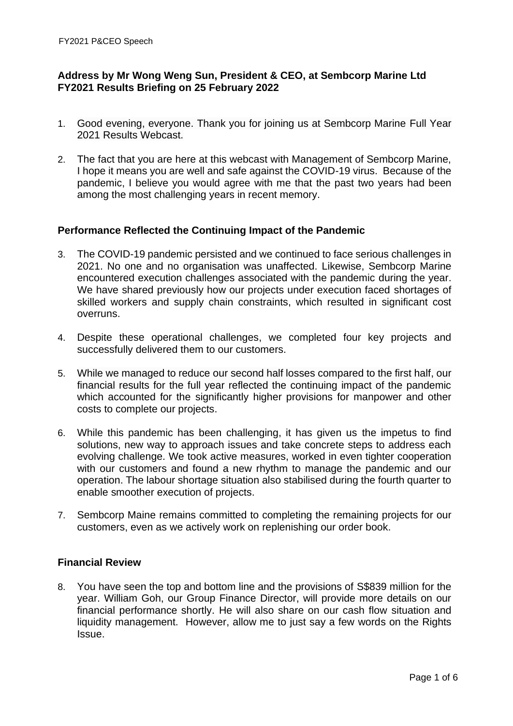# **Address by Mr Wong Weng Sun, President & CEO, at Sembcorp Marine Ltd FY2021 Results Briefing on 25 February 2022**

- 1. Good evening, everyone. Thank you for joining us at Sembcorp Marine Full Year 2021 Results Webcast.
- 2. The fact that you are here at this webcast with Management of Sembcorp Marine, I hope it means you are well and safe against the COVID-19 virus. Because of the pandemic, I believe you would agree with me that the past two years had been among the most challenging years in recent memory.

## **Performance Reflected the Continuing Impact of the Pandemic**

- 3. The COVID-19 pandemic persisted and we continued to face serious challenges in 2021. No one and no organisation was unaffected. Likewise, Sembcorp Marine encountered execution challenges associated with the pandemic during the year. We have shared previously how our projects under execution faced shortages of skilled workers and supply chain constraints, which resulted in significant cost overruns.
- 4. Despite these operational challenges, we completed four key projects and successfully delivered them to our customers.
- 5. While we managed to reduce our second half losses compared to the first half, our financial results for the full year reflected the continuing impact of the pandemic which accounted for the significantly higher provisions for manpower and other costs to complete our projects.
- 6. While this pandemic has been challenging, it has given us the impetus to find solutions, new way to approach issues and take concrete steps to address each evolving challenge. We took active measures, worked in even tighter cooperation with our customers and found a new rhythm to manage the pandemic and our operation. The labour shortage situation also stabilised during the fourth quarter to enable smoother execution of projects.
- 7. Sembcorp Maine remains committed to completing the remaining projects for our customers, even as we actively work on replenishing our order book.

## **Financial Review**

8. You have seen the top and bottom line and the provisions of S\$839 million for the year. William Goh, our Group Finance Director, will provide more details on our financial performance shortly. He will also share on our cash flow situation and liquidity management. However, allow me to just say a few words on the Rights Issue.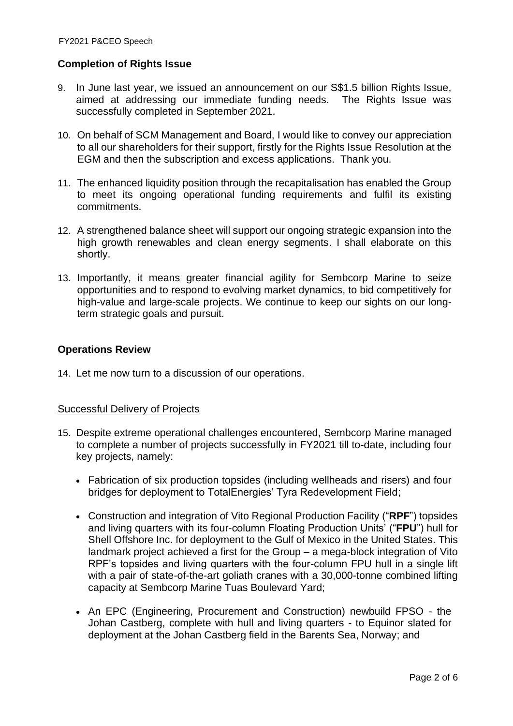# **Completion of Rights Issue**

- 9. In June last year, we issued an announcement on our S\$1.5 billion Rights Issue, aimed at addressing our immediate funding needs. The Rights Issue was successfully completed in September 2021.
- 10. On behalf of SCM Management and Board, I would like to convey our appreciation to all our shareholders for their support, firstly for the Rights Issue Resolution at the EGM and then the subscription and excess applications. Thank you.
- 11. The enhanced liquidity position through the recapitalisation has enabled the Group to meet its ongoing operational funding requirements and fulfil its existing commitments.
- 12. A strengthened balance sheet will support our ongoing strategic expansion into the high growth renewables and clean energy segments. I shall elaborate on this shortly.
- 13. Importantly, it means greater financial agility for Sembcorp Marine to seize opportunities and to respond to evolving market dynamics, to bid competitively for high-value and large-scale projects. We continue to keep our sights on our longterm strategic goals and pursuit.

### **Operations Review**

14. Let me now turn to a discussion of our operations.

### Successful Delivery of Projects

- 15. Despite extreme operational challenges encountered, Sembcorp Marine managed to complete a number of projects successfully in FY2021 till to-date, including four key projects, namely:
	- Fabrication of six production topsides (including wellheads and risers) and four bridges for deployment to TotalEnergies' Tyra Redevelopment Field;
	- Construction and integration of Vito Regional Production Facility ("**RPF**") topsides and living quarters with its four-column Floating Production Units' ("**FPU**") hull for Shell Offshore Inc. for deployment to the Gulf of Mexico in the United States. This landmark project achieved a first for the Group – a mega-block integration of Vito RPF's topsides and living quarters with the four-column FPU hull in a single lift with a pair of state-of-the-art goliath cranes with a 30,000-tonne combined lifting capacity at Sembcorp Marine Tuas Boulevard Yard;
	- An EPC (Engineering, Procurement and Construction) newbuild FPSO the Johan Castberg, complete with hull and living quarters - to Equinor slated for deployment at the Johan Castberg field in the Barents Sea, Norway; and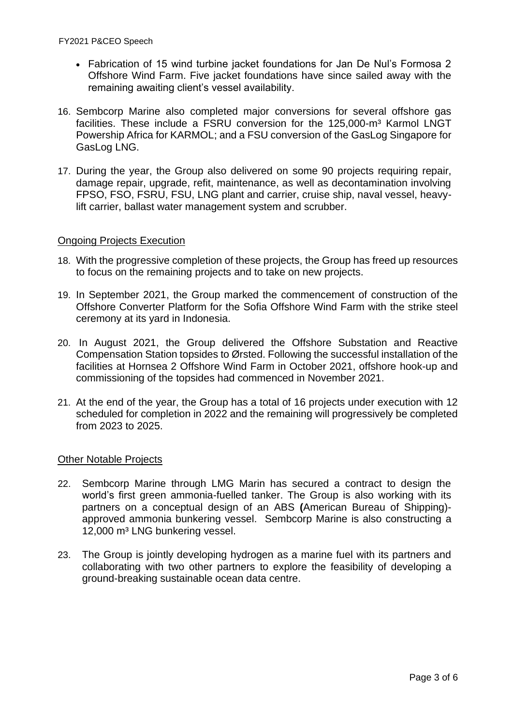- Fabrication of 15 wind turbine jacket foundations for Jan De Nul's Formosa 2 Offshore Wind Farm. Five jacket foundations have since sailed away with the remaining awaiting client's vessel availability.
- 16. Sembcorp Marine also completed major conversions for several offshore gas facilities. These include a FSRU conversion for the 125,000-m<sup>3</sup> Karmol LNGT Powership Africa for KARMOL; and a FSU conversion of the GasLog Singapore for GasLog LNG.
- 17. During the year, the Group also delivered on some 90 projects requiring repair, damage repair, upgrade, refit, maintenance, as well as decontamination involving FPSO, FSO, FSRU, FSU, LNG plant and carrier, cruise ship, naval vessel, heavylift carrier, ballast water management system and scrubber.

# Ongoing Projects Execution

- 18. With the progressive completion of these projects, the Group has freed up resources to focus on the remaining projects and to take on new projects.
- 19. In September 2021, the Group marked the commencement of construction of the Offshore Converter Platform for the Sofia Offshore Wind Farm with the strike steel ceremony at its yard in Indonesia.
- 20. In August 2021, the Group delivered the Offshore Substation and Reactive Compensation Station topsides to Ørsted. Following the successful installation of the facilities at Hornsea 2 Offshore Wind Farm in October 2021, offshore hook-up and commissioning of the topsides had commenced in November 2021.
- 21. At the end of the year, the Group has a total of 16 projects under execution with 12 scheduled for completion in 2022 and the remaining will progressively be completed from 2023 to 2025.

### Other Notable Projects

- 22. Sembcorp Marine through LMG Marin has secured a contract to design the world's first green ammonia-fuelled tanker. The Group is also working with its partners on a conceptual design of an ABS **(**American Bureau of Shipping) approved ammonia bunkering vessel. Sembcorp Marine is also constructing a 12,000 m<sup>3</sup> LNG bunkering vessel.
- 23. The Group is jointly developing hydrogen as a marine fuel with its partners and collaborating with two other partners to explore the feasibility of developing a ground-breaking sustainable ocean data centre.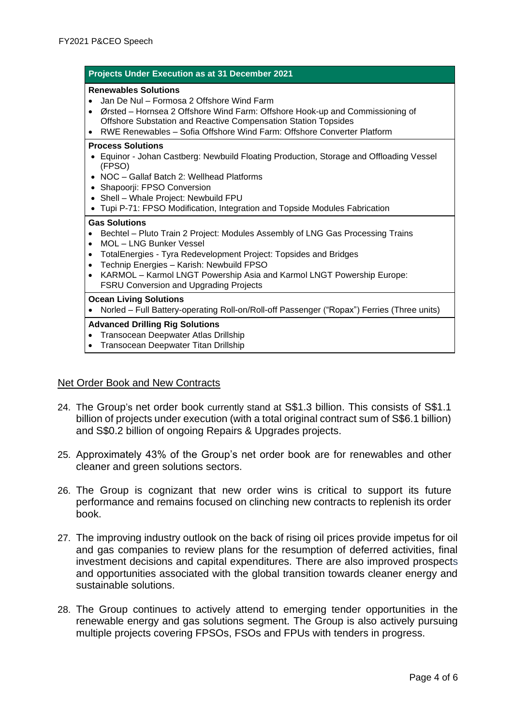| Projects Under Execution as at 31 December 2021                                                                                                                                                                                                                                                                                                                                                                                              |
|----------------------------------------------------------------------------------------------------------------------------------------------------------------------------------------------------------------------------------------------------------------------------------------------------------------------------------------------------------------------------------------------------------------------------------------------|
| <b>Renewables Solutions</b><br>Jan De Nul - Formosa 2 Offshore Wind Farm<br>Ørsted – Hornsea 2 Offshore Wind Farm: Offshore Hook-up and Commissioning of<br>$\bullet$<br>Offshore Substation and Reactive Compensation Station Topsides<br>RWE Renewables - Sofia Offshore Wind Farm: Offshore Converter Platform<br>$\bullet$                                                                                                               |
| <b>Process Solutions</b><br>Equinor - Johan Castberg: Newbuild Floating Production, Storage and Offloading Vessel<br>(FPSO)<br>NOC - Gallaf Batch 2: Wellhead Platforms<br>Shapoorji: FPSO Conversion<br>٠<br>Shell - Whale Project: Newbuild FPU<br>Tupi P-71: FPSO Modification, Integration and Topside Modules Fabrication<br>$\bullet$                                                                                                  |
| <b>Gas Solutions</b><br>Bechtel - Pluto Train 2 Project: Modules Assembly of LNG Gas Processing Trains<br>$\bullet$<br>MOL - LNG Bunker Vessel<br>$\bullet$<br>TotalEnergies - Tyra Redevelopment Project: Topsides and Bridges<br>$\bullet$<br>Technip Energies - Karish: Newbuild FPSO<br>$\bullet$<br>KARMOL - Karmol LNGT Powership Asia and Karmol LNGT Powership Europe:<br>$\bullet$<br><b>FSRU Conversion and Upgrading Projects</b> |
| <b>Ocean Living Solutions</b><br>Norled - Full Battery-operating Roll-on/Roll-off Passenger ("Ropax") Ferries (Three units)                                                                                                                                                                                                                                                                                                                  |
| <b>Advanced Drilling Rig Solutions</b><br>Transocean Deepwater Atlas Drillship<br>$\bullet$<br>Transocean Deepwater Titan Drillship<br>$\bullet$                                                                                                                                                                                                                                                                                             |
|                                                                                                                                                                                                                                                                                                                                                                                                                                              |

### Net Order Book and New Contracts

- 24. The Group's net order book currently stand at S\$1.3 billion. This consists of S\$1.1 billion of projects under execution (with a total original contract sum of S\$6.1 billion) and S\$0.2 billion of ongoing Repairs & Upgrades projects.
- 25. Approximately 43% of the Group's net order book are for renewables and other cleaner and green solutions sectors.
- 26. The Group is cognizant that new order wins is critical to support its future performance and remains focused on clinching new contracts to replenish its order book.
- 27. The improving industry outlook on the back of rising oil prices provide impetus for oil and gas companies to review plans for the resumption of deferred activities, final investment decisions and capital expenditures. There are also improved prospects and opportunities associated with the global transition towards cleaner energy and sustainable solutions.
- 28. The Group continues to actively attend to emerging tender opportunities in the renewable energy and gas solutions segment. The Group is also actively pursuing multiple projects covering FPSOs, FSOs and FPUs with tenders in progress.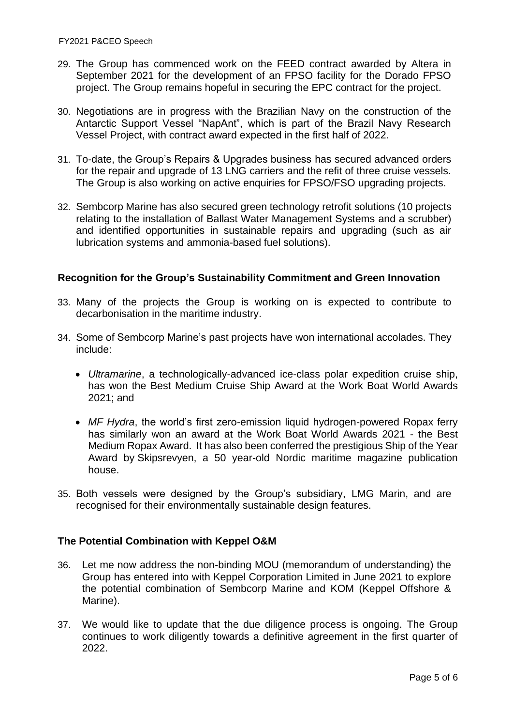- 29. The Group has commenced work on the FEED contract awarded by Altera in September 2021 for the development of an FPSO facility for the Dorado FPSO project. The Group remains hopeful in securing the EPC contract for the project.
- 30. Negotiations are in progress with the Brazilian Navy on the construction of the Antarctic Support Vessel "NapAnt", which is part of the Brazil Navy Research Vessel Project, with contract award expected in the first half of 2022.
- 31. To-date, the Group's Repairs & Upgrades business has secured advanced orders for the repair and upgrade of 13 LNG carriers and the refit of three cruise vessels. The Group is also working on active enquiries for FPSO/FSO upgrading projects.
- 32. Sembcorp Marine has also secured green technology retrofit solutions (10 projects relating to the installation of Ballast Water Management Systems and a scrubber) and identified opportunities in sustainable repairs and upgrading (such as air lubrication systems and ammonia-based fuel solutions).

### **Recognition for the Group's Sustainability Commitment and Green Innovation**

- 33. Many of the projects the Group is working on is expected to contribute to decarbonisation in the maritime industry.
- 34. Some of Sembcorp Marine's past projects have won international accolades. They include:
	- *Ultramarine*, a technologically-advanced ice-class polar expedition cruise ship, has won the Best Medium Cruise Ship Award at the Work Boat World Awards 2021; and
	- *MF Hydra*, the world's first zero-emission liquid hydrogen-powered Ropax ferry has similarly won an award at the Work Boat World Awards 2021 - the Best Medium Ropax Award. It has also been conferred the prestigious Ship of the Year Award by Skipsrevyen, a 50 year-old Nordic maritime magazine publication house.
- 35. Both vessels were designed by the Group's subsidiary, LMG Marin, and are recognised for their environmentally sustainable design features.

#### **The Potential Combination with Keppel O&M**

- 36. Let me now address the non-binding MOU (memorandum of understanding) the Group has entered into with Keppel Corporation Limited in June 2021 to explore the potential combination of Sembcorp Marine and KOM (Keppel Offshore & Marine).
- 37. We would like to update that the due diligence process is ongoing. The Group continues to work diligently towards a definitive agreement in the first quarter of 2022.